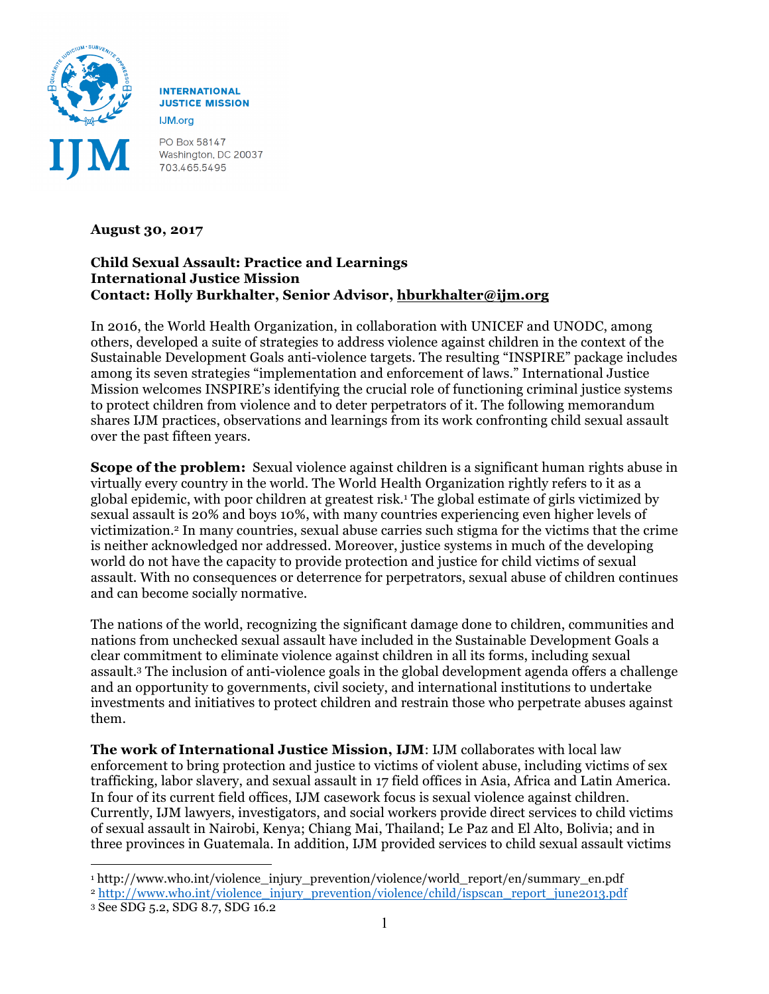

**INTERNATIONAL JUSTICE MISSION IJM.org** 

PO Box 58147 Washington, DC 20037 703.465.5495

## **August 30, 2017**

## **Child Sexual Assault: Practice and Learnings International Justice Mission Contact: Holly Burkhalter, Senior Advisor, hburkhalter@ijm.org**

In 2016, the World Health Organization, in collaboration with UNICEF and UNODC, among others, developed a suite of strategies to address violence against children in the context of the Sustainable Development Goals anti-violence targets. The resulting "INSPIRE" package includes among its seven strategies "implementation and enforcement of laws." International Justice Mission welcomes INSPIRE's identifying the crucial role of functioning criminal justice systems to protect children from violence and to deter perpetrators of it. The following memorandum shares IJM practices, observations and learnings from its work confronting child sexual assault over the past fifteen years.

**Scope of the problem:** Sexual violence against children is a significant human rights abuse in virtually every country in the world. The World Health Organization rightly refers to it as a global epidemic, with poor children at greatest risk.1 The global estimate of girls victimized by sexual assault is 20% and boys 10%, with many countries experiencing even higher levels of victimization.2 In many countries, sexual abuse carries such stigma for the victims that the crime is neither acknowledged nor addressed. Moreover, justice systems in much of the developing world do not have the capacity to provide protection and justice for child victims of sexual assault. With no consequences or deterrence for perpetrators, sexual abuse of children continues and can become socially normative.

The nations of the world, recognizing the significant damage done to children, communities and nations from unchecked sexual assault have included in the Sustainable Development Goals a clear commitment to eliminate violence against children in all its forms, including sexual assault.3 The inclusion of anti-violence goals in the global development agenda offers a challenge and an opportunity to governments, civil society, and international institutions to undertake investments and initiatives to protect children and restrain those who perpetrate abuses against them.

**The work of International Justice Mission, IJM**: IJM collaborates with local law enforcement to bring protection and justice to victims of violent abuse, including victims of sex trafficking, labor slavery, and sexual assault in 17 field offices in Asia, Africa and Latin America. In four of its current field offices, IJM casework focus is sexual violence against children. Currently, IJM lawyers, investigators, and social workers provide direct services to child victims of sexual assault in Nairobi, Kenya; Chiang Mai, Thailand; Le Paz and El Alto, Bolivia; and in three provinces in Guatemala. In addition, IJM provided services to child sexual assault victims

<sup>1</sup> <sup>1</sup> http://www.who.int/violence\_injury\_prevention/violence/world\_report/en/summary\_en.pdf

<sup>2</sup> http://www.who.int/violence\_injury\_prevention/violence/child/ispscan\_report\_june2013.pdf

<sup>3</sup> See SDG 5.2, SDG 8.7, SDG 16.2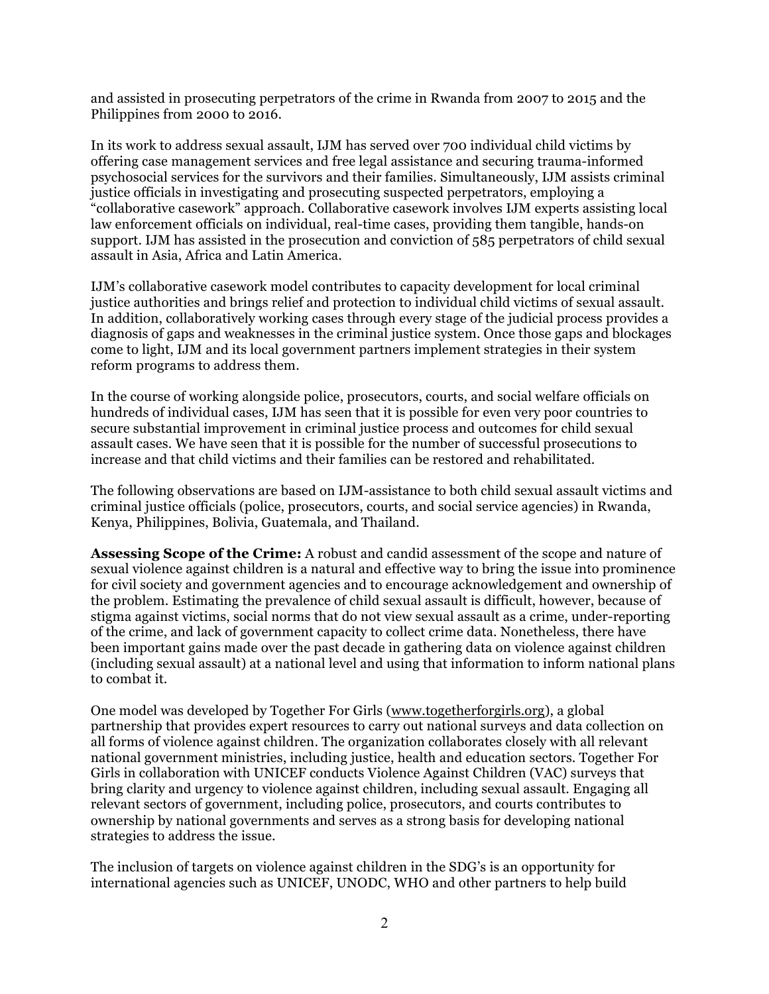and assisted in prosecuting perpetrators of the crime in Rwanda from 2007 to 2015 and the Philippines from 2000 to 2016.

In its work to address sexual assault, IJM has served over 700 individual child victims by offering case management services and free legal assistance and securing trauma-informed psychosocial services for the survivors and their families. Simultaneously, IJM assists criminal justice officials in investigating and prosecuting suspected perpetrators, employing a "collaborative casework" approach. Collaborative casework involves IJM experts assisting local law enforcement officials on individual, real-time cases, providing them tangible, hands-on support. IJM has assisted in the prosecution and conviction of 585 perpetrators of child sexual assault in Asia, Africa and Latin America.

IJM's collaborative casework model contributes to capacity development for local criminal justice authorities and brings relief and protection to individual child victims of sexual assault. In addition, collaboratively working cases through every stage of the judicial process provides a diagnosis of gaps and weaknesses in the criminal justice system. Once those gaps and blockages come to light, IJM and its local government partners implement strategies in their system reform programs to address them.

In the course of working alongside police, prosecutors, courts, and social welfare officials on hundreds of individual cases, IJM has seen that it is possible for even very poor countries to secure substantial improvement in criminal justice process and outcomes for child sexual assault cases. We have seen that it is possible for the number of successful prosecutions to increase and that child victims and their families can be restored and rehabilitated.

The following observations are based on IJM-assistance to both child sexual assault victims and criminal justice officials (police, prosecutors, courts, and social service agencies) in Rwanda, Kenya, Philippines, Bolivia, Guatemala, and Thailand.

**Assessing Scope of the Crime:** A robust and candid assessment of the scope and nature of sexual violence against children is a natural and effective way to bring the issue into prominence for civil society and government agencies and to encourage acknowledgement and ownership of the problem. Estimating the prevalence of child sexual assault is difficult, however, because of stigma against victims, social norms that do not view sexual assault as a crime, under-reporting of the crime, and lack of government capacity to collect crime data. Nonetheless, there have been important gains made over the past decade in gathering data on violence against children (including sexual assault) at a national level and using that information to inform national plans to combat it.

One model was developed by Together For Girls (www.togetherforgirls.org), a global partnership that provides expert resources to carry out national surveys and data collection on all forms of violence against children. The organization collaborates closely with all relevant national government ministries, including justice, health and education sectors. Together For Girls in collaboration with UNICEF conducts Violence Against Children (VAC) surveys that bring clarity and urgency to violence against children, including sexual assault. Engaging all relevant sectors of government, including police, prosecutors, and courts contributes to ownership by national governments and serves as a strong basis for developing national strategies to address the issue.

The inclusion of targets on violence against children in the SDG's is an opportunity for international agencies such as UNICEF, UNODC, WHO and other partners to help build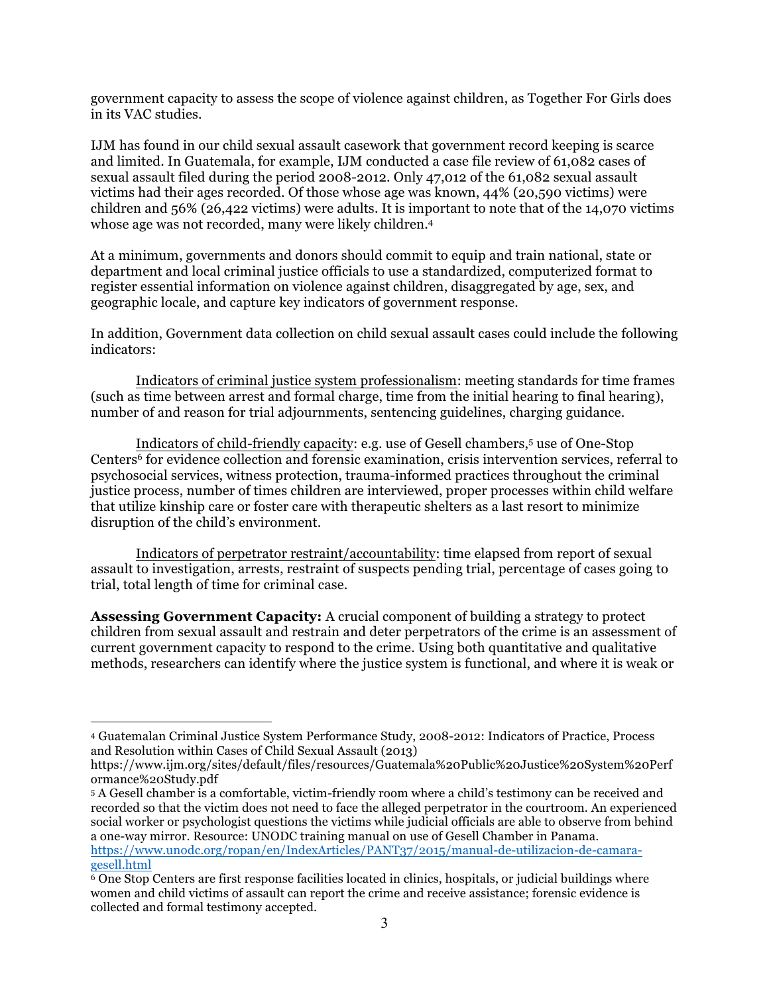government capacity to assess the scope of violence against children, as Together For Girls does in its VAC studies.

IJM has found in our child sexual assault casework that government record keeping is scarce and limited. In Guatemala, for example, IJM conducted a case file review of 61,082 cases of sexual assault filed during the period 2008-2012. Only 47,012 of the 61,082 sexual assault victims had their ages recorded. Of those whose age was known, 44% (20,590 victims) were children and 56% (26,422 victims) were adults. It is important to note that of the 14,070 victims whose age was not recorded, many were likely children.4

At a minimum, governments and donors should commit to equip and train national, state or department and local criminal justice officials to use a standardized, computerized format to register essential information on violence against children, disaggregated by age, sex, and geographic locale, and capture key indicators of government response.

In addition, Government data collection on child sexual assault cases could include the following indicators:

Indicators of criminal justice system professionalism: meeting standards for time frames (such as time between arrest and formal charge, time from the initial hearing to final hearing), number of and reason for trial adjournments, sentencing guidelines, charging guidance.

Indicators of child-friendly capacity: e.g. use of Gesell chambers,5 use of One-Stop Centers6 for evidence collection and forensic examination, crisis intervention services, referral to psychosocial services, witness protection, trauma-informed practices throughout the criminal justice process, number of times children are interviewed, proper processes within child welfare that utilize kinship care or foster care with therapeutic shelters as a last resort to minimize disruption of the child's environment.

Indicators of perpetrator restraint/accountability: time elapsed from report of sexual assault to investigation, arrests, restraint of suspects pending trial, percentage of cases going to trial, total length of time for criminal case.

**Assessing Government Capacity:** A crucial component of building a strategy to protect children from sexual assault and restrain and deter perpetrators of the crime is an assessment of current government capacity to respond to the crime. Using both quantitative and qualitative methods, researchers can identify where the justice system is functional, and where it is weak or

<sup>&</sup>lt;u>.</u> <sup>4</sup> Guatemalan Criminal Justice System Performance Study, 2008-2012: Indicators of Practice, Process and Resolution within Cases of Child Sexual Assault (2013)

https://www.ijm.org/sites/default/files/resources/Guatemala%20Public%20Justice%20System%20Perf ormance%20Study.pdf

<sup>5</sup> A Gesell chamber is a comfortable, victim-friendly room where a child's testimony can be received and recorded so that the victim does not need to face the alleged perpetrator in the courtroom. An experienced social worker or psychologist questions the victims while judicial officials are able to observe from behind a one-way mirror. Resource: UNODC training manual on use of Gesell Chamber in Panama. https://www.unodc.org/ropan/en/IndexArticles/PANT37/2015/manual-de-utilizacion-de-camaragesell.html

 $\overline{6}$  One Stop Centers are first response facilities located in clinics, hospitals, or judicial buildings where women and child victims of assault can report the crime and receive assistance; forensic evidence is collected and formal testimony accepted.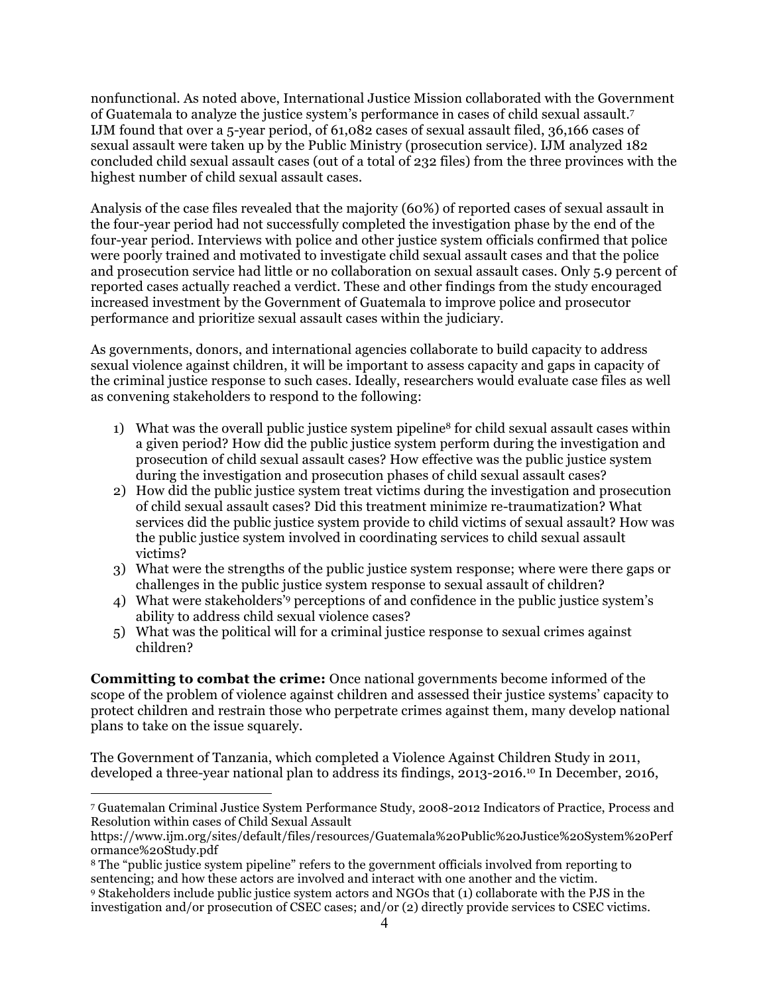nonfunctional. As noted above, International Justice Mission collaborated with the Government of Guatemala to analyze the justice system's performance in cases of child sexual assault.7 IJM found that over a 5-year period, of 61,082 cases of sexual assault filed, 36,166 cases of sexual assault were taken up by the Public Ministry (prosecution service). IJM analyzed 182 concluded child sexual assault cases (out of a total of 232 files) from the three provinces with the highest number of child sexual assault cases.

Analysis of the case files revealed that the majority (60%) of reported cases of sexual assault in the four-year period had not successfully completed the investigation phase by the end of the four-year period. Interviews with police and other justice system officials confirmed that police were poorly trained and motivated to investigate child sexual assault cases and that the police and prosecution service had little or no collaboration on sexual assault cases. Only 5.9 percent of reported cases actually reached a verdict. These and other findings from the study encouraged increased investment by the Government of Guatemala to improve police and prosecutor performance and prioritize sexual assault cases within the judiciary.

As governments, donors, and international agencies collaborate to build capacity to address sexual violence against children, it will be important to assess capacity and gaps in capacity of the criminal justice response to such cases. Ideally, researchers would evaluate case files as well as convening stakeholders to respond to the following:

- 1) What was the overall public justice system pipeline<sup>8</sup> for child sexual assault cases within a given period? How did the public justice system perform during the investigation and prosecution of child sexual assault cases? How effective was the public justice system during the investigation and prosecution phases of child sexual assault cases?
- 2) How did the public justice system treat victims during the investigation and prosecution of child sexual assault cases? Did this treatment minimize re-traumatization? What services did the public justice system provide to child victims of sexual assault? How was the public justice system involved in coordinating services to child sexual assault victims?
- 3) What were the strengths of the public justice system response; where were there gaps or challenges in the public justice system response to sexual assault of children?
- 4) What were stakeholders'9 perceptions of and confidence in the public justice system's ability to address child sexual violence cases?
- 5) What was the political will for a criminal justice response to sexual crimes against children?

**Committing to combat the crime:** Once national governments become informed of the scope of the problem of violence against children and assessed their justice systems' capacity to protect children and restrain those who perpetrate crimes against them, many develop national plans to take on the issue squarely.

The Government of Tanzania, which completed a Violence Against Children Study in 2011, developed a three-year national plan to address its findings, 2013-2016.10 In December, 2016,

<sup>1</sup> <sup>7</sup> Guatemalan Criminal Justice System Performance Study, 2008-2012 Indicators of Practice, Process and Resolution within cases of Child Sexual Assault

https://www.ijm.org/sites/default/files/resources/Guatemala%20Public%20Justice%20System%20Perf ormance%20Study.pdf

<sup>8</sup> The "public justice system pipeline" refers to the government officials involved from reporting to sentencing; and how these actors are involved and interact with one another and the victim. <sup>9</sup> Stakeholders include public justice system actors and NGOs that (1) collaborate with the PJS in the

investigation and/or prosecution of CSEC cases; and/or (2) directly provide services to CSEC victims.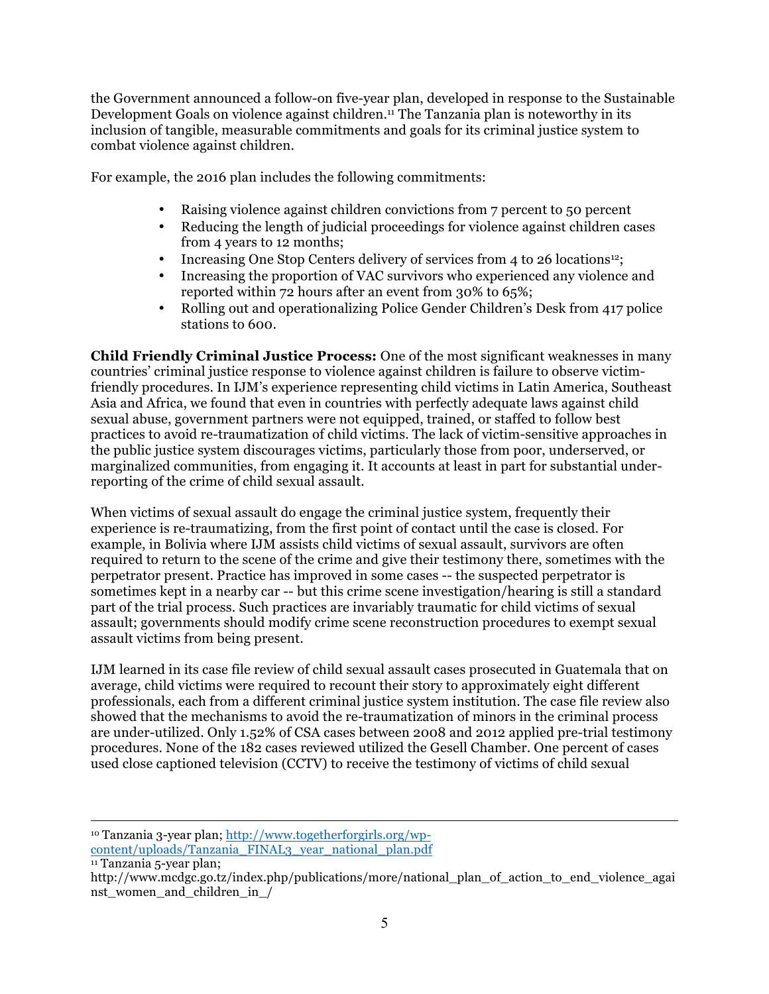the Government announced a follow-on five-year plan, developed in response to the Sustainable Development Goals on violence against children.<sup>11</sup> The Tanzania plan is noteworthy in its inclusion of tangible, measurable commitments and goals for its criminal justice system to combat violence against children.

For example, the 2016 plan includes the following commitments:

- Raising violence against children convictions from 7 percent to 50 percent
- Reducing the length of judicial proceedings for violence against children cases from 4 years to 12 months;
- Increasing One Stop Centers delivery of services from 4 to 26 locations<sup>12</sup>;
- Increasing the proportion of VAC survivors who experienced any violence and reported within 72 hours after an event from 30% to 65%;
- Rolling out and operationalizing Police Gender Children's Desk from 417 police stations to 600.

**Child Friendly Criminal Justice Process:** One of the most significant weaknesses in many countries' criminal justice response to violence against children is failure to observe victimfriendly procedures. In IJM's experience representing child victims in Latin America, Southeast Asia and Africa, we found that even in countries with perfectly adequate laws against child sexual abuse, government partners were not equipped, trained, or staffed to follow best practices to avoid re-traumatization of child victims. The lack of victim-sensitive approaches in the public justice system discourages victims, particularly those from poor, underserved, or marginalized communities, from engaging it. It accounts at least in part for substantial underreporting of the crime of child sexual assault.

When victims of sexual assault do engage the criminal justice system, frequently their experience is re-traumatizing, from the first point of contact until the case is closed. For example, in Bolivia where IJM assists child victims of sexual assault, survivors are often required to return to the scene of the crime and give their testimony there, sometimes with the perpetrator present. Practice has improved in some cases -- the suspected perpetrator is sometimes kept in a nearby car -- but this crime scene investigation/hearing is still a standard part of the trial process. Such practices are invariably traumatic for child victims of sexual assault; governments should modify crime scene reconstruction procedures to exempt sexual assault victims from being present.

IJM learned in its case file review of child sexual assault cases prosecuted in Guatemala that on average, child victims were required to recount their story to approximately eight different professionals, each from a different criminal justice system institution. The case file review also showed that the mechanisms to avoid the re-traumatization of minors in the criminal process are under-utilized. Only 1.52% of CSA cases between 2008 and 2012 applied pre-trial testimony procedures. None of the 182 cases reviewed utilized the Gesell Chamber. One percent of cases used close captioned television (CCTV) to receive the testimony of victims of child sexual

1 <sup>10</sup> Tanzania 3-year plan; http://www.togetherforgirls.org/wpcontent/uploads/Tanzania\_FINAL3\_year\_national\_plan.pdf

<sup>11</sup> Tanzania 5-year plan;

http://www.mcdgc.go.tz/index.php/publications/more/national plan of action to end violence agai nst\_women\_and\_children\_in\_/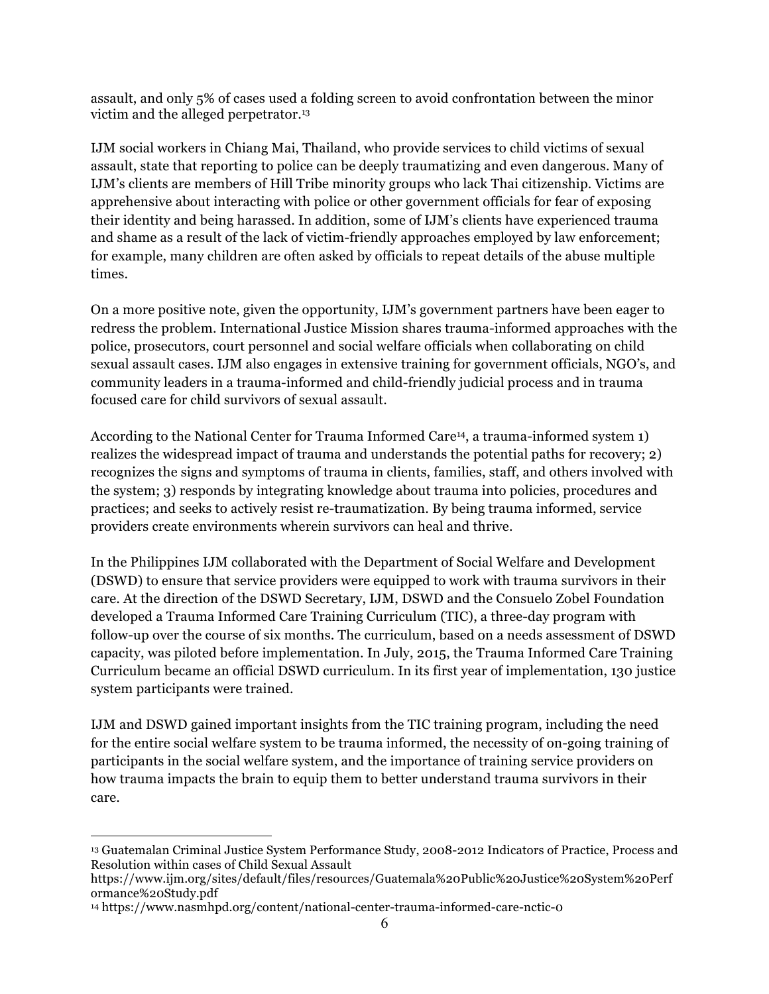assault, and only 5% of cases used a folding screen to avoid confrontation between the minor victim and the alleged perpetrator.13

IJM social workers in Chiang Mai, Thailand, who provide services to child victims of sexual assault, state that reporting to police can be deeply traumatizing and even dangerous. Many of IJM's clients are members of Hill Tribe minority groups who lack Thai citizenship. Victims are apprehensive about interacting with police or other government officials for fear of exposing their identity and being harassed. In addition, some of IJM's clients have experienced trauma and shame as a result of the lack of victim-friendly approaches employed by law enforcement; for example, many children are often asked by officials to repeat details of the abuse multiple times.

On a more positive note, given the opportunity, IJM's government partners have been eager to redress the problem. International Justice Mission shares trauma-informed approaches with the police, prosecutors, court personnel and social welfare officials when collaborating on child sexual assault cases. IJM also engages in extensive training for government officials, NGO's, and community leaders in a trauma-informed and child-friendly judicial process and in trauma focused care for child survivors of sexual assault.

According to the National Center for Trauma Informed Care14, a trauma-informed system 1) realizes the widespread impact of trauma and understands the potential paths for recovery; 2) recognizes the signs and symptoms of trauma in clients, families, staff, and others involved with the system; 3) responds by integrating knowledge about trauma into policies, procedures and practices; and seeks to actively resist re-traumatization. By being trauma informed, service providers create environments wherein survivors can heal and thrive.

In the Philippines IJM collaborated with the Department of Social Welfare and Development (DSWD) to ensure that service providers were equipped to work with trauma survivors in their care. At the direction of the DSWD Secretary, IJM, DSWD and the Consuelo Zobel Foundation developed a Trauma Informed Care Training Curriculum (TIC), a three-day program with follow-up over the course of six months. The curriculum, based on a needs assessment of DSWD capacity, was piloted before implementation. In July, 2015, the Trauma Informed Care Training Curriculum became an official DSWD curriculum. In its first year of implementation, 130 justice system participants were trained.

IJM and DSWD gained important insights from the TIC training program, including the need for the entire social welfare system to be trauma informed, the necessity of on-going training of participants in the social welfare system, and the importance of training service providers on how trauma impacts the brain to equip them to better understand trauma survivors in their care.

<sup>1</sup> <sup>13</sup> Guatemalan Criminal Justice System Performance Study, 2008-2012 Indicators of Practice, Process and Resolution within cases of Child Sexual Assault

https://www.ijm.org/sites/default/files/resources/Guatemala%20Public%20Justice%20System%20Perf ormance%20Study.pdf

<sup>14</sup> https://www.nasmhpd.org/content/national-center-trauma-informed-care-nctic-0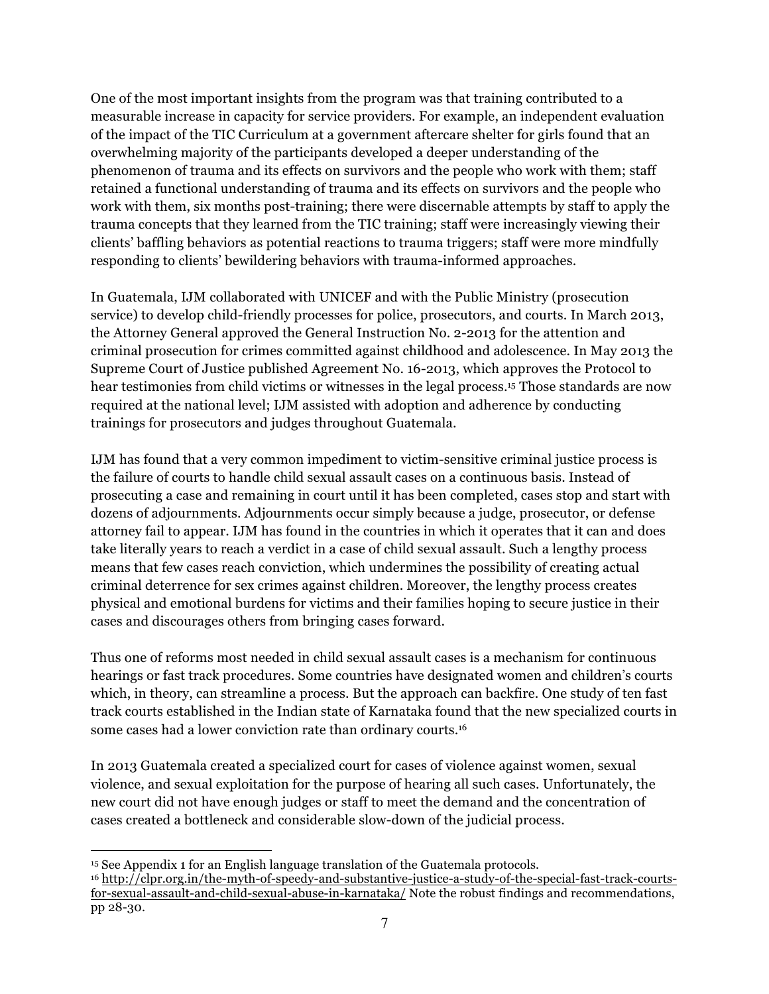One of the most important insights from the program was that training contributed to a measurable increase in capacity for service providers. For example, an independent evaluation of the impact of the TIC Curriculum at a government aftercare shelter for girls found that an overwhelming majority of the participants developed a deeper understanding of the phenomenon of trauma and its effects on survivors and the people who work with them; staff retained a functional understanding of trauma and its effects on survivors and the people who work with them, six months post-training; there were discernable attempts by staff to apply the trauma concepts that they learned from the TIC training; staff were increasingly viewing their clients' baffling behaviors as potential reactions to trauma triggers; staff were more mindfully responding to clients' bewildering behaviors with trauma-informed approaches.

In Guatemala, IJM collaborated with UNICEF and with the Public Ministry (prosecution service) to develop child-friendly processes for police, prosecutors, and courts. In March 2013, the Attorney General approved the General Instruction No. 2-2013 for the attention and criminal prosecution for crimes committed against childhood and adolescence. In May 2013 the Supreme Court of Justice published Agreement No. 16-2013, which approves the Protocol to hear testimonies from child victims or witnesses in the legal process.15 Those standards are now required at the national level; IJM assisted with adoption and adherence by conducting trainings for prosecutors and judges throughout Guatemala.

IJM has found that a very common impediment to victim-sensitive criminal justice process is the failure of courts to handle child sexual assault cases on a continuous basis. Instead of prosecuting a case and remaining in court until it has been completed, cases stop and start with dozens of adjournments. Adjournments occur simply because a judge, prosecutor, or defense attorney fail to appear. IJM has found in the countries in which it operates that it can and does take literally years to reach a verdict in a case of child sexual assault. Such a lengthy process means that few cases reach conviction, which undermines the possibility of creating actual criminal deterrence for sex crimes against children. Moreover, the lengthy process creates physical and emotional burdens for victims and their families hoping to secure justice in their cases and discourages others from bringing cases forward.

Thus one of reforms most needed in child sexual assault cases is a mechanism for continuous hearings or fast track procedures. Some countries have designated women and children's courts which, in theory, can streamline a process. But the approach can backfire. One study of ten fast track courts established in the Indian state of Karnataka found that the new specialized courts in some cases had a lower conviction rate than ordinary courts.16

In 2013 Guatemala created a specialized court for cases of violence against women, sexual violence, and sexual exploitation for the purpose of hearing all such cases. Unfortunately, the new court did not have enough judges or staff to meet the demand and the concentration of cases created a bottleneck and considerable slow-down of the judicial process.

<sup>1</sup> <sup>15</sup> See Appendix 1 for an English language translation of the Guatemala protocols.

<sup>16</sup> http://clpr.org.in/the-myth-of-speedy-and-substantive-justice-a-study-of-the-special-fast-track-courtsfor-sexual-assault-and-child-sexual-abuse-in-karnataka/ Note the robust findings and recommendations, pp 28-30.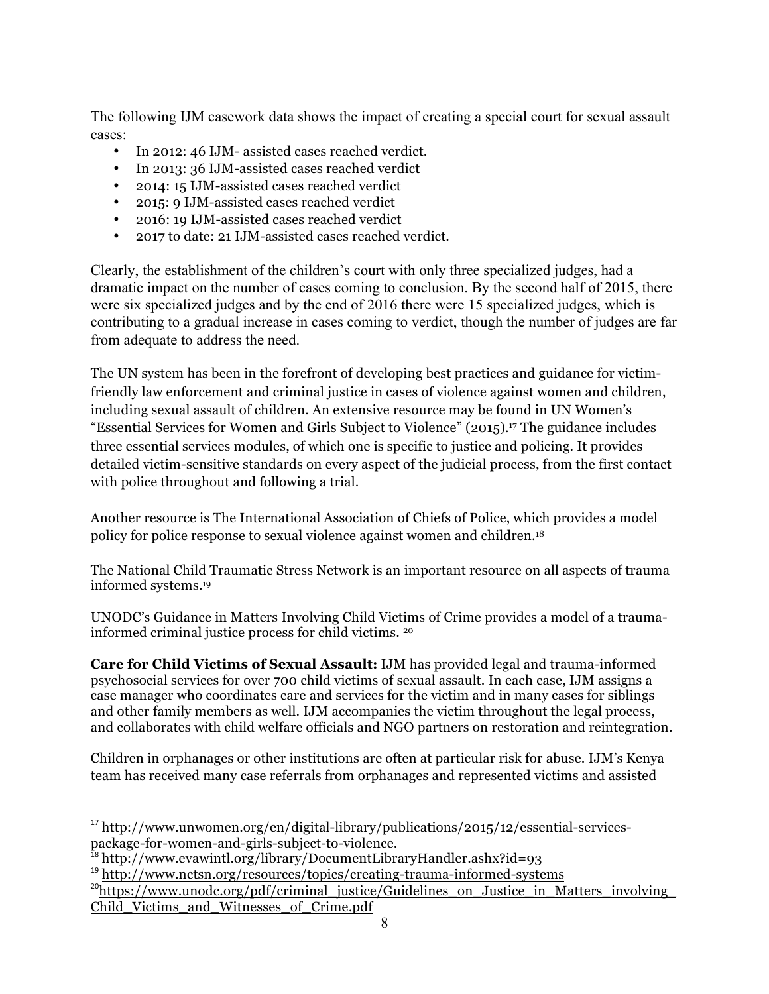The following IJM casework data shows the impact of creating a special court for sexual assault cases:

- In 2012: 46 IJM- assisted cases reached verdict.
- In 2013: 36 IJM-assisted cases reached verdict
- 2014: 15 IJM-assisted cases reached verdict
- 2015: 9 IJM-assisted cases reached verdict
- 2016: 19 IJM-assisted cases reached verdict
- 2017 to date: 21 IJM-assisted cases reached verdict.

Clearly, the establishment of the children's court with only three specialized judges, had a dramatic impact on the number of cases coming to conclusion. By the second half of 2015, there were six specialized judges and by the end of 2016 there were 15 specialized judges, which is contributing to a gradual increase in cases coming to verdict, though the number of judges are far from adequate to address the need.

The UN system has been in the forefront of developing best practices and guidance for victimfriendly law enforcement and criminal justice in cases of violence against women and children, including sexual assault of children. An extensive resource may be found in UN Women's "Essential Services for Women and Girls Subject to Violence" (2015). <sup>17</sup> The guidance includes three essential services modules, of which one is specific to justice and policing. It provides detailed victim-sensitive standards on every aspect of the judicial process, from the first contact with police throughout and following a trial.

Another resource is The International Association of Chiefs of Police, which provides a model policy for police response to sexual violence against women and children.18

The National Child Traumatic Stress Network is an important resource on all aspects of trauma informed systems.19

UNODC's Guidance in Matters Involving Child Victims of Crime provides a model of a traumainformed criminal justice process for child victims. <sup>20</sup>

**Care for Child Victims of Sexual Assault:** IJM has provided legal and trauma-informed psychosocial services for over 700 child victims of sexual assault. In each case, IJM assigns a case manager who coordinates care and services for the victim and in many cases for siblings and other family members as well. IJM accompanies the victim throughout the legal process, and collaborates with child welfare officials and NGO partners on restoration and reintegration.

Children in orphanages or other institutions are often at particular risk for abuse. IJM's Kenya team has received many case referrals from orphanages and represented victims and assisted

1

<sup>&</sup>lt;sup>17</sup> http://www.unwomen.org/en/digital-library/publications/2015/12/essential-servicespackage-for-women-and-girls-subject-to-violence.

<sup>18</sup> http://www.evawintl.org/library/DocumentLibraryHandler.ashx?id=93

<sup>&</sup>lt;sup>19</sup> http://www.nctsn.org/resources/topics/creating-trauma-informed-systems

 $^{20}$ https://www.unodc.org/pdf/criminal\_justice/Guidelines\_on\_Justice\_in\_Matters\_involving Child\_Victims\_and\_Witnesses\_of\_Crime.pdf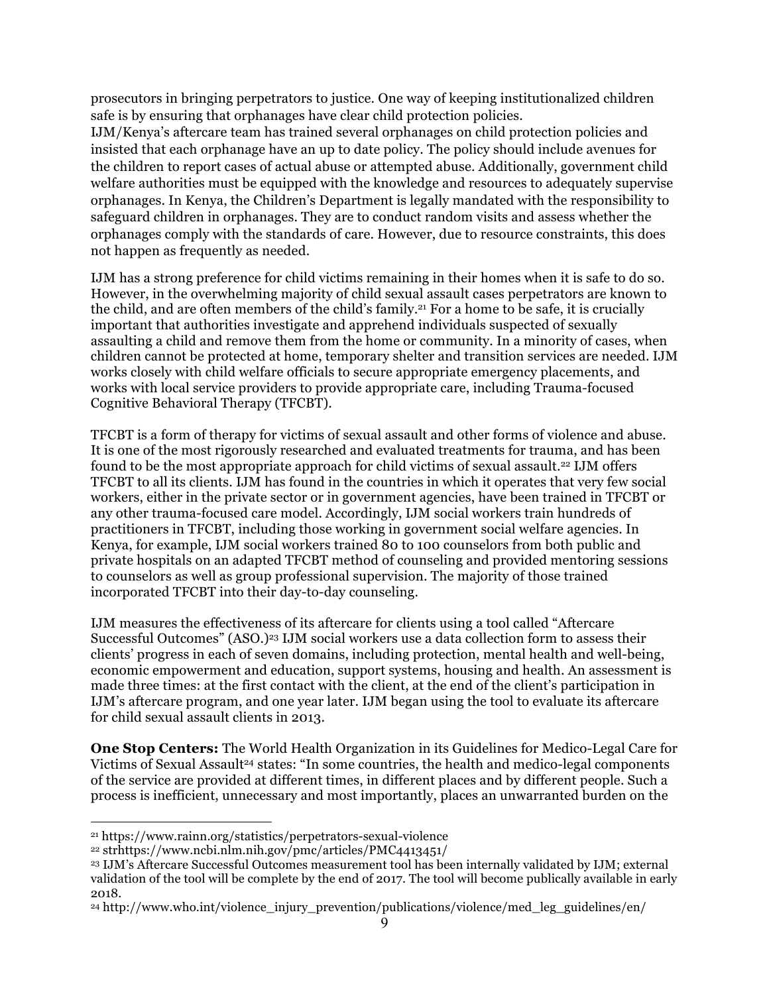prosecutors in bringing perpetrators to justice. One way of keeping institutionalized children safe is by ensuring that orphanages have clear child protection policies.

IJM/Kenya's aftercare team has trained several orphanages on child protection policies and insisted that each orphanage have an up to date policy. The policy should include avenues for the children to report cases of actual abuse or attempted abuse. Additionally, government child welfare authorities must be equipped with the knowledge and resources to adequately supervise orphanages. In Kenya, the Children's Department is legally mandated with the responsibility to safeguard children in orphanages. They are to conduct random visits and assess whether the orphanages comply with the standards of care. However, due to resource constraints, this does not happen as frequently as needed.

IJM has a strong preference for child victims remaining in their homes when it is safe to do so. However, in the overwhelming majority of child sexual assault cases perpetrators are known to the child, and are often members of the child's family.21 For a home to be safe, it is crucially important that authorities investigate and apprehend individuals suspected of sexually assaulting a child and remove them from the home or community. In a minority of cases, when children cannot be protected at home, temporary shelter and transition services are needed. IJM works closely with child welfare officials to secure appropriate emergency placements, and works with local service providers to provide appropriate care, including Trauma-focused Cognitive Behavioral Therapy (TFCBT).

TFCBT is a form of therapy for victims of sexual assault and other forms of violence and abuse. It is one of the most rigorously researched and evaluated treatments for trauma, and has been found to be the most appropriate approach for child victims of sexual assault.22 IJM offers TFCBT to all its clients. IJM has found in the countries in which it operates that very few social workers, either in the private sector or in government agencies, have been trained in TFCBT or any other trauma-focused care model. Accordingly, IJM social workers train hundreds of practitioners in TFCBT, including those working in government social welfare agencies. In Kenya, for example, IJM social workers trained 80 to 100 counselors from both public and private hospitals on an adapted TFCBT method of counseling and provided mentoring sessions to counselors as well as group professional supervision. The majority of those trained incorporated TFCBT into their day-to-day counseling.

IJM measures the effectiveness of its aftercare for clients using a tool called "Aftercare Successful Outcomes" (ASO.)23 IJM social workers use a data collection form to assess their clients' progress in each of seven domains, including protection, mental health and well-being, economic empowerment and education, support systems, housing and health. An assessment is made three times: at the first contact with the client, at the end of the client's participation in IJM's aftercare program, and one year later. IJM began using the tool to evaluate its aftercare for child sexual assault clients in 2013.

**One Stop Centers:** The World Health Organization in its Guidelines for Medico-Legal Care for Victims of Sexual Assault<sup>24</sup> states: "In some countries, the health and medico-legal components of the service are provided at different times, in different places and by different people. Such a process is inefficient, unnecessary and most importantly, places an unwarranted burden on the

1

<sup>21</sup> https://www.rainn.org/statistics/perpetrators-sexual-violence

<sup>22</sup> strhttps://www.ncbi.nlm.nih.gov/pmc/articles/PMC4413451/

<sup>23</sup> IJM's Aftercare Successful Outcomes measurement tool has been internally validated by IJM; external validation of the tool will be complete by the end of 2017. The tool will become publically available in early 2018.

<sup>24</sup> http://www.who.int/violence\_injury\_prevention/publications/violence/med\_leg\_guidelines/en/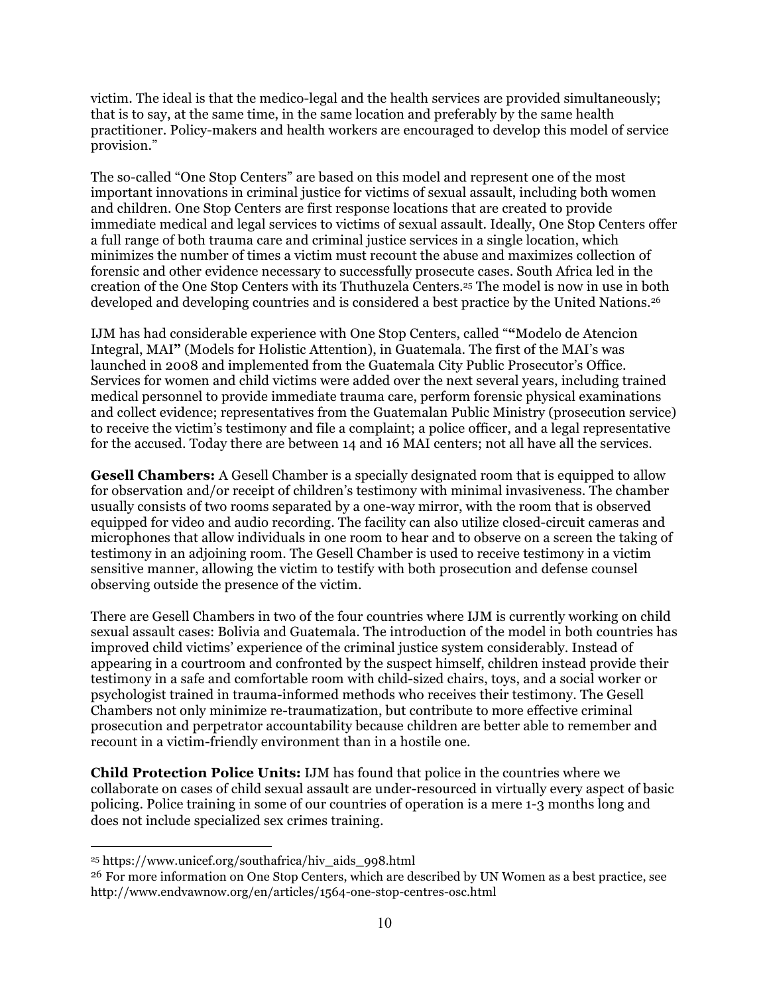victim. The ideal is that the medico-legal and the health services are provided simultaneously; that is to say, at the same time, in the same location and preferably by the same health practitioner. Policy-makers and health workers are encouraged to develop this model of service provision."

The so-called "One Stop Centers" are based on this model and represent one of the most important innovations in criminal justice for victims of sexual assault, including both women and children. One Stop Centers are first response locations that are created to provide immediate medical and legal services to victims of sexual assault. Ideally, One Stop Centers offer a full range of both trauma care and criminal justice services in a single location, which minimizes the number of times a victim must recount the abuse and maximizes collection of forensic and other evidence necessary to successfully prosecute cases. South Africa led in the creation of the One Stop Centers with its Thuthuzela Centers.25 The model is now in use in both developed and developing countries and is considered a best practice by the United Nations.<sup>26</sup>

IJM has had considerable experience with One Stop Centers, called "**"**Modelo de Atencion Integral, MAI**"** (Models for Holistic Attention), in Guatemala. The first of the MAI's was launched in 2008 and implemented from the Guatemala City Public Prosecutor's Office. Services for women and child victims were added over the next several years, including trained medical personnel to provide immediate trauma care, perform forensic physical examinations and collect evidence; representatives from the Guatemalan Public Ministry (prosecution service) to receive the victim's testimony and file a complaint; a police officer, and a legal representative for the accused. Today there are between 14 and 16 MAI centers; not all have all the services.

**Gesell Chambers:** A Gesell Chamber is a specially designated room that is equipped to allow for observation and/or receipt of children's testimony with minimal invasiveness. The chamber usually consists of two rooms separated by a one-way mirror, with the room that is observed equipped for video and audio recording. The facility can also utilize closed-circuit cameras and microphones that allow individuals in one room to hear and to observe on a screen the taking of testimony in an adjoining room. The Gesell Chamber is used to receive testimony in a victim sensitive manner, allowing the victim to testify with both prosecution and defense counsel observing outside the presence of the victim.

There are Gesell Chambers in two of the four countries where IJM is currently working on child sexual assault cases: Bolivia and Guatemala. The introduction of the model in both countries has improved child victims' experience of the criminal justice system considerably. Instead of appearing in a courtroom and confronted by the suspect himself, children instead provide their testimony in a safe and comfortable room with child-sized chairs, toys, and a social worker or psychologist trained in trauma-informed methods who receives their testimony. The Gesell Chambers not only minimize re-traumatization, but contribute to more effective criminal prosecution and perpetrator accountability because children are better able to remember and recount in a victim-friendly environment than in a hostile one.

**Child Protection Police Units:** IJM has found that police in the countries where we collaborate on cases of child sexual assault are under-resourced in virtually every aspect of basic policing. Police training in some of our countries of operation is a mere 1-3 months long and does not include specialized sex crimes training.

<u>.</u>

<sup>25</sup> https://www.unicef.org/southafrica/hiv\_aids\_998.html

<sup>&</sup>lt;sup>26</sup> For more information on One Stop Centers, which are described by UN Women as a best practice, see http://www.endvawnow.org/en/articles/1564-one-stop-centres-osc.html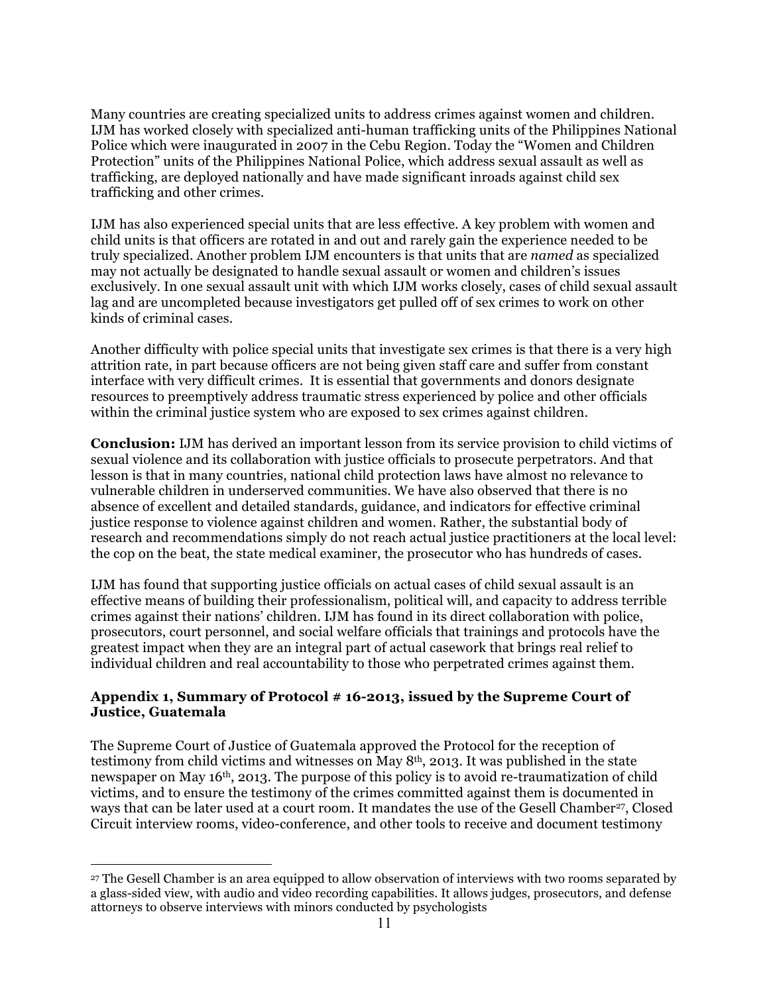Many countries are creating specialized units to address crimes against women and children. IJM has worked closely with specialized anti-human trafficking units of the Philippines National Police which were inaugurated in 2007 in the Cebu Region. Today the "Women and Children Protection" units of the Philippines National Police, which address sexual assault as well as trafficking, are deployed nationally and have made significant inroads against child sex trafficking and other crimes.

IJM has also experienced special units that are less effective. A key problem with women and child units is that officers are rotated in and out and rarely gain the experience needed to be truly specialized. Another problem IJM encounters is that units that are *named* as specialized may not actually be designated to handle sexual assault or women and children's issues exclusively. In one sexual assault unit with which IJM works closely, cases of child sexual assault lag and are uncompleted because investigators get pulled off of sex crimes to work on other kinds of criminal cases.

Another difficulty with police special units that investigate sex crimes is that there is a very high attrition rate, in part because officers are not being given staff care and suffer from constant interface with very difficult crimes. It is essential that governments and donors designate resources to preemptively address traumatic stress experienced by police and other officials within the criminal justice system who are exposed to sex crimes against children.

**Conclusion:** IJM has derived an important lesson from its service provision to child victims of sexual violence and its collaboration with justice officials to prosecute perpetrators. And that lesson is that in many countries, national child protection laws have almost no relevance to vulnerable children in underserved communities. We have also observed that there is no absence of excellent and detailed standards, guidance, and indicators for effective criminal justice response to violence against children and women. Rather, the substantial body of research and recommendations simply do not reach actual justice practitioners at the local level: the cop on the beat, the state medical examiner, the prosecutor who has hundreds of cases.

IJM has found that supporting justice officials on actual cases of child sexual assault is an effective means of building their professionalism, political will, and capacity to address terrible crimes against their nations' children. IJM has found in its direct collaboration with police, prosecutors, court personnel, and social welfare officials that trainings and protocols have the greatest impact when they are an integral part of actual casework that brings real relief to individual children and real accountability to those who perpetrated crimes against them.

## **Appendix 1, Summary of Protocol # 16-2013, issued by the Supreme Court of Justice, Guatemala**

The Supreme Court of Justice of Guatemala approved the Protocol for the reception of testimony from child victims and witnesses on May 8th, 2013. It was published in the state newspaper on May 16<sup>th</sup>, 2013. The purpose of this policy is to avoid re-traumatization of child victims, and to ensure the testimony of the crimes committed against them is documented in ways that can be later used at a court room. It mandates the use of the Gesell Chamber<sup>27</sup>, Closed Circuit interview rooms, video-conference, and other tools to receive and document testimony

1

<sup>27</sup> The Gesell Chamber is an area equipped to allow observation of interviews with two rooms separated by a glass-sided view, with audio and video recording capabilities. It allows judges, prosecutors, and defense attorneys to observe interviews with minors conducted by psychologists